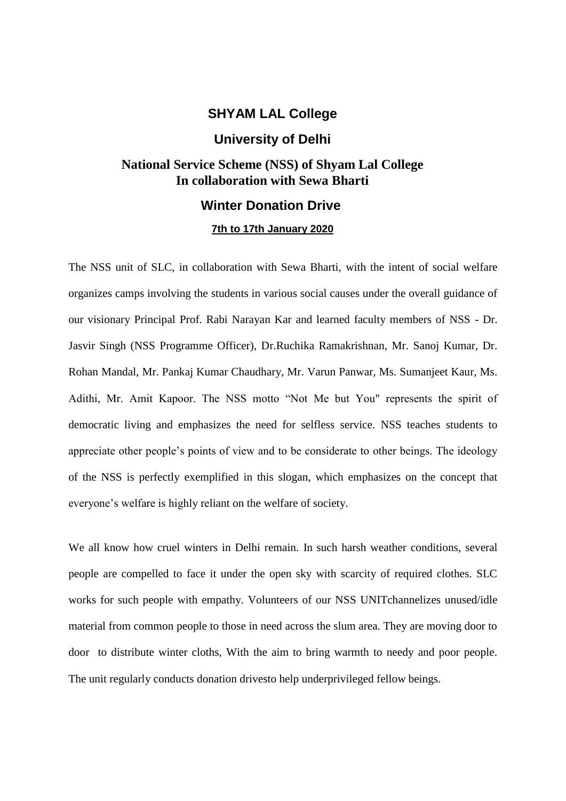# **SHYAM LAL College**

### **University of Delhi**

# **National Service Scheme (NSS) of Shyam Lal College In collaboration with Sewa Bharti**

# **Winter Donation Drive**

#### **7th to 17th January 2020**

The NSS unit of SLC, in collaboration with Sewa Bharti, with the intent of social welfare organizes camps involving the students in various social causes under the overall guidance of our visionary Principal Prof. Rabi Narayan Kar and learned faculty members of NSS - Dr. Jasvir Singh (NSS Programme Officer), Dr.Ruchika Ramakrishnan, Mr. Sanoj Kumar, Dr. Rohan Mandal, Mr. Pankaj Kumar Chaudhary, Mr. Varun Panwar, Ms. Sumanjeet Kaur, Ms. Adithi, Mr. Amit Kapoor. The NSS motto "Not Me but You" represents the spirit of democratic living and emphasizes the need for selfless service. NSS teaches students to appreciate other people's points of view and to be considerate to other beings. The ideology of the NSS is perfectly exemplified in this slogan, which emphasizes on the concept that everyone's welfare is highly reliant on the welfare of society.

We all know how cruel winters in Delhi remain. In such harsh weather conditions, several people are compelled to face it under the open sky with scarcity of required clothes. SLC works for such people with empathy. Volunteers of our NSS UNITchannelizes unused/idle material from common people to those in need across the slum area. They are moving door to door to distribute winter cloths, With the aim to bring warmth to needy and poor people. The unit regularly conducts donation drivesto help underprivileged fellow beings.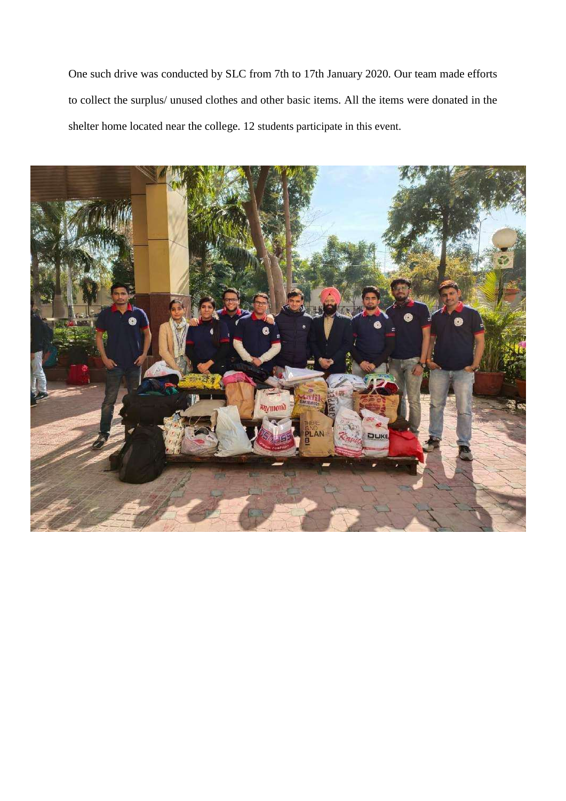One such drive was conducted by SLC from 7th to 17th January 2020. Our team made efforts to collect the surplus/ unused clothes and other basic items. All the items were donated in the shelter home located near the college. 12 students participate in this event.